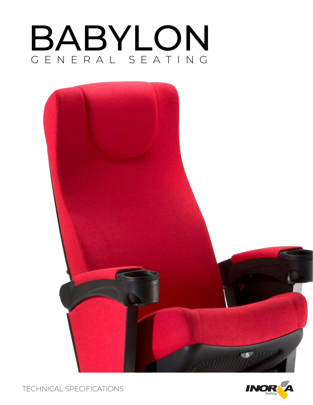# BABYLON GENERAL SEATING





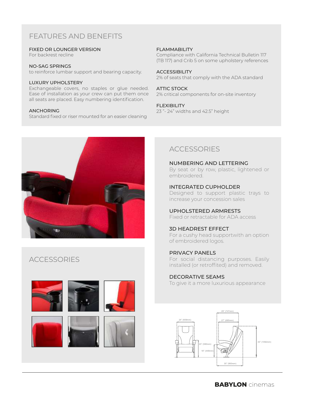# FEATURES AND BENEFITS

FIXED OR LOUNGER VERSION

For backrest recline

#### NO-SAG SPRINGS

to reinforce lumbar support and bearing capacity.

#### LUXURY UPHOLSTERY

Exchangeable covers, no staples or glue needed. Ease of installation as your crew can put them once all seats are placed. Easy numbering identification.

#### ANCHORING

Standard fixed or riser mounted for an easier cleaning

#### FLAMMABILITY

Compliance with California Technical Bulletin 117 (TB 117) and Crib 5 on some upholstery references

#### **ACCESSIBILITY**

2% of seats that comply with the ADA standard

#### ATTIC STOCK

2% critical components for on-site inventory

#### FLEXIBILITY

23 "- 24" widths and 42.5" height



## **ACCESSORIES**











NUMBERING AND LETTERING By seat or by row, plastic, lightened or embroidered.

INTEGRATED CUPHOLDER Designed to support plastic trays to increase your concession sales

UPHOLSTERED ARMRESTS Fixed or retractable for ADA access

#### 3D HEADREST EFFECT

For a cushy head supportwith an option of embroidered logos.

#### PRIVACY PANELS For social distancing purposes. Easily installed (or retroffited) and removed.

#### DECORATIVE SEAMS

To give it a more luxurious appearance

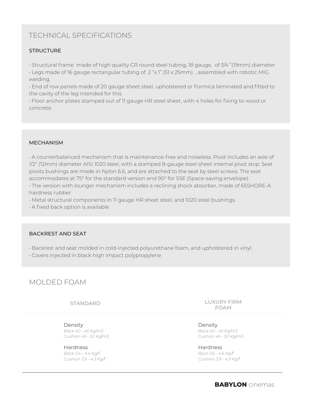# TECHNICAL SPECIFICATIONS

### **STRUCTURE**

• Structural frame made of high quality CR round steel tubing, 18 gauge, of 3/4 "(19mm) diameter

• Legs made of 16 gauge rectangular tubing of 2 "x 1" (51 x 25mm) , assembled with robotic MIG welding.

• End of row panels made of 20 gauge sheet steel, upholstered or Formica laminated and fitted to the cavity of the leg intended for this

• Floor anchor plates stamped out of 11 gauge HR steel sheet, with 4 holes for fixing to wood or concrete.

#### MECHANISM

• A counterbalanced mechanism that is maintenance-free and noiseless. Pivot includes an axle of 1/2" (12mm) diameter AISI 1020 steel, with a stamped 8-gauge steel sheet internal pivot stop. Seat pivots bushings are made in Nylon 6.6, and are attached to the seat by steel screws. The seat accommodates at 75° for the standard version and 90° for SSE (Space-saving envelope).

• The version with lounger mechanism includes a reclining shock absorber, made of 65SHORE-A hardness rubber.

• Metal structural components in 11 gauge HR sheet steel, and 1020 steel bushings.

• A fixed back option is available

#### BACKREST AND SEAT

• Backrest and seat molded in cold-injected polyurethane foam, and upholstered in vinyl.

• Covers injected in black high impact polypropylene

## MOLDED FOAM

STANDARD

Density *Back 40 - 45 Kg/m3 Cushion 45 - 50 Kg/m3*

Hardness *Back 3.4 - 4.4 Kg/f Cushion 3.9 - 4.3 Kg/f* LUXURY FIRM FOAM

Density *Back 40 - 45 Kg/m3 Cushion 45 - 50 Kg/m3*

Hardness *Back 3.6 - 4.6 Kg/f Cushion 3.9 - 4.9 Kg/f*